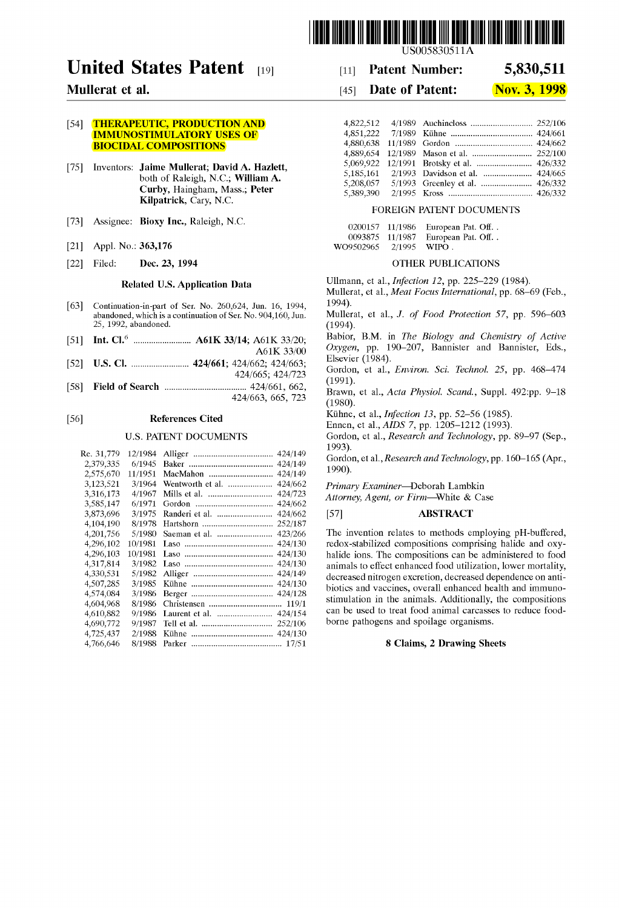

# **United States Patent** [19]

# **Mullerat et al.**

### [54] **THERAPEUTIC, PRODUCTION AND** IMMUNOSTIMULATORY USES OF BIOCIDAL COMPOSITIONS

- [75] Inventors: Jaime Mullerat; David A. Hazlett, both of Raleigh, N.C.; William A. Curby, Haingham, Mass.; Peter Kilpatrick, Cary, N.C.
- [73] Assignee: Bioxy Inc., Raleigh, N.C.
- [21] Appl. No.: 363,176
- [22] Filed: **Dec. 23, 1994**

#### Related U.S. Applieation Data

- [63] Continuation-in-part of Ser. No. 260,624, Jun. 16, 1994, abandoned, which is a continuation of Ser. No. 904,160, Jun. 25, 1992, abandoned.
- [51] Int. CI.6 .......................... A61K 33/14; A61K 33/20;
- A61K 33/00 [52] U.S. CI. .......................... 424/661; 424/662; 424/663;
- 424/665; 424/723
- [58] Field of Seareh ..................................... 424/661, 662, 424/663, 665, 723

#### [56] Referenees Cited

#### U.S. PATENT DOCUMENTS

| Re. 31,779 | 12/1984 | 424/149                     |
|------------|---------|-----------------------------|
| 2,379,335  | 6/1945  | 424/149                     |
| 2,575,670  | 11/1951 | 424/149                     |
| 3,123,521  | 3/1964  | Wentworth et al.<br>424/662 |
| 3,316,173  | 4/1967  | 424/723<br>Mills et al.     |
| 3,585,147  | 6/1971  | 424/662                     |
| 3,873,696  | 3/1975  | Randeri et al.<br>424/662   |
| 4,104,190  | 8/1978  | 252/187<br>Hartshorn        |
| 4,201,756  | 5/1980  | 423/266                     |
| 4,296,102  | 10/1981 | 424/130                     |
| 4,296,103  | 10/1981 | 424/130                     |
| 4,317,814  | 3/1982  | 424/130                     |
| 4.330,531  | 5/1982  | 424/149                     |
| 4.507.285  | 3/1985  | 424/130                     |
| 4,574,084  | 3/1986  | 424/128                     |
| 4,604,968  | 8/1986  |                             |
| 4,610,882  | 9/1986  | 424/154                     |
| 4,690,772  | 9/1987  | 252/106                     |
| 4,725,437  | 2/1988  | 424/130                     |
| 4,766,646  | 8/1988  |                             |
|            |         |                             |

US005830511A

#### [11] **Patent Number: 5,830,511**

#### [45] **Date of Patent:**  Nov. 3, **1998**

| 4,822,512 |  |  |
|-----------|--|--|
| 4,851,222 |  |  |
|           |  |  |
|           |  |  |
|           |  |  |
|           |  |  |
| 5,208,057 |  |  |
| 5,389,390 |  |  |

#### FOREIGN PATENT DOCUMENTS

|           | 0200157 11/1986 | European Pat. Off |
|-----------|-----------------|-------------------|
| 0093875   | 11/1987         | European Pat. Off |
| WO9502965 | 2/1995          | WIPO.             |

#### OTHER PUBLICATIONS

Ullmann, et al., *Infection* 12, pp. 225-229 (1984). Mullerat, et al., *Meat Focus International,* pp. 68-69 (Feb.,

1994). Mullerat, et al., J. *of Food Protection* 57, pp. 596-603

(1994).

Babior, B.M. in *The Biology and Chemistry of Active Oxygen,* pp. 190-207, Bannister and Bannister, Eds., EIsevier (1984).

Gordon, et al., *Environ. Sci. Technol.* 25, pp. 468-474 (1991).

Brawn, et al., *Acta Physiol. Scand.,* Suppl. 492:pp. 9-18 (1980).

Kühne, et al., *Infection* 13, pp. 52-56 (1985).

Ennen, et al., *AIDS* 7, pp. 1205-1212 (1993).

Gordon, et al., *Research and Technology,* pp. 89-97 (Sep., 1993).

Gordon, et al., *Research and Technology,* pp. 160-165 (Apr., 1990).

*Primary Examiner-Deborah* Lambkin

*Attorney, Agent, or Firm-White* & Case

# [57] ABSTRACT

The invention relates to methods employing pH-buffered, redox-stabilized compositions comprising halide and oxyhalide ions. The compositions can be administered to food animals to effect enhanced food utilization, lower mortality, decreased nitrogen excretion, decreased dependence on antibiotics and vaccines, overall enhanced health and immunostimulation in the animals. Additionally, the compositions can be used to treat food animal carcasses to reduce foodborne pathogens and spoilage organisms.

#### 8 Claims, 2 Drawing Sheets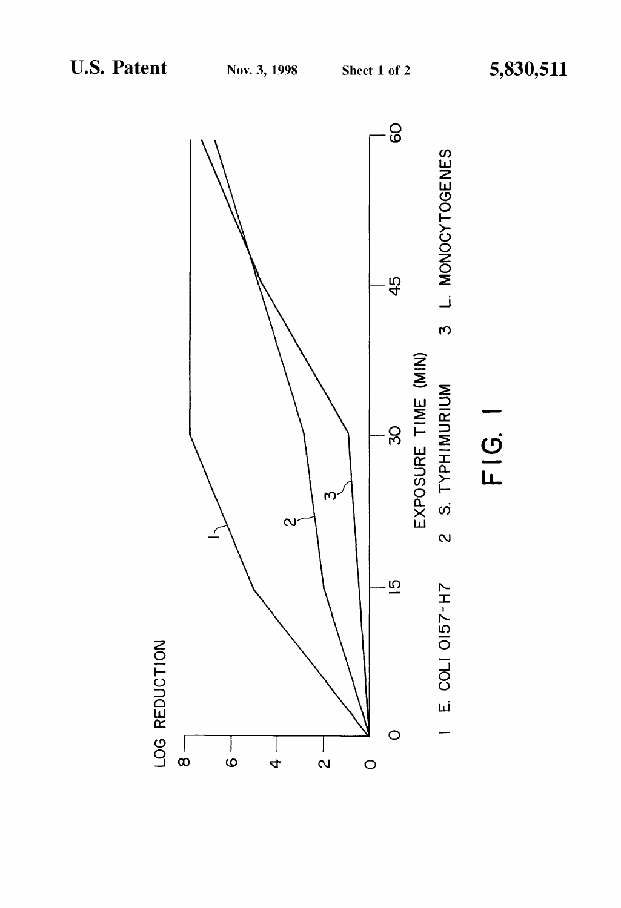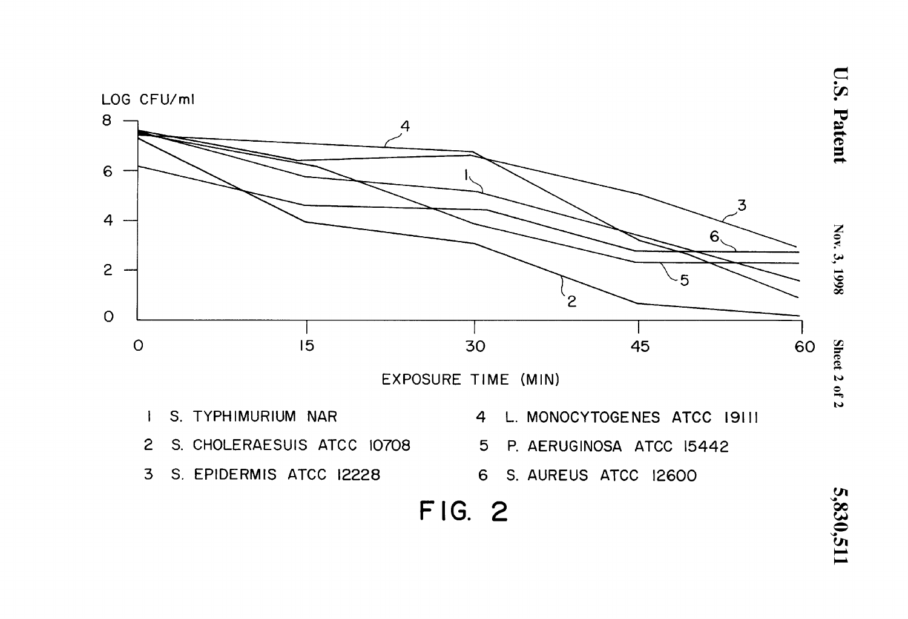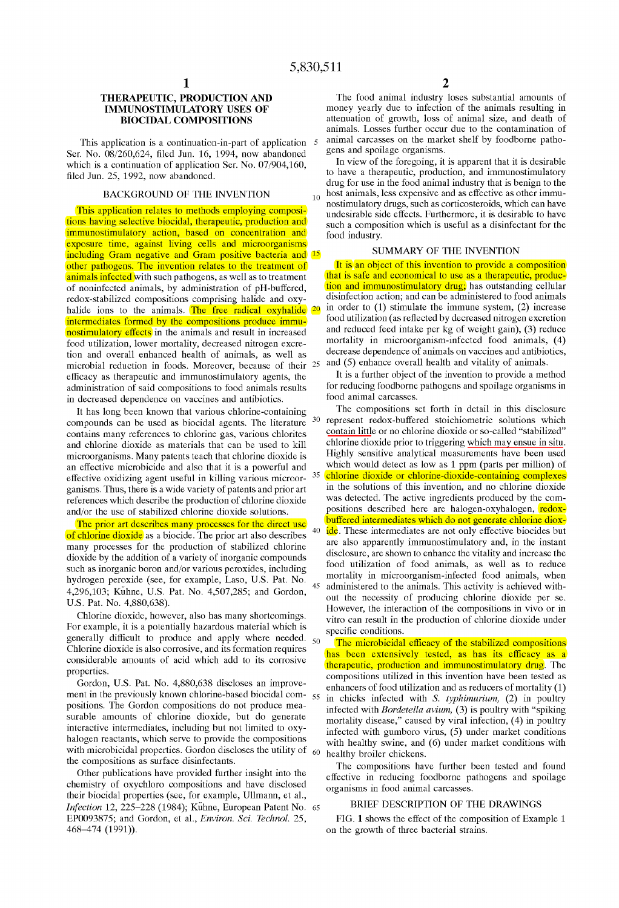## THERAPEUTIC, PRODUCTION AND IMMUNOSTIMULATORY USES OF BIOCIDAL COMPOSITIONS

This application is a continuation-in-part of application Ser. No. *08/260,624,* filed Jun. 16, 1994, now abandoned which is a continuation of application Ser. No. *07/904,160,*  filed Jun. 25, 1992, now abandoned.

This application relates to methods employing compositions having selective biocidal, therapeutic, production and immunostimulatory action, based on concentration and exposure time, against living cells and microorganisms including Gram negative and Gram positive bacteria and <sup>15</sup> other pathogens. The invention relates to the treatment of animals infected with such pathogens, as well as to treatment of noninfected animals, by administration of pH-buffered, redox-stabilized compositions comprising halide and oxyhalide ions to the animals. The free radical oxyhalide intermediates formed by the compositions produce immunostimulatory effects in the animals and result in increased food utilization, lower mortality, decreased nitrogen excretion and overall enhanced health of animals, as well as microbial reduction in foods. Moreover, because of their 25 efficacy as therapeutic and immunostimulatory agents, the administration of said compositions to food animals results in decreased dependence on vaccines and antibiotics.

It has long been known that various chlorine-containing compounds can be used as biocidal agents. The literature 30 contains many references to chlorine gas, various chlorites and chlorine dioxide as materials that can be used to kill microorganisms. Many patents teach that chlorine dioxide is an effective microbicide and also that it is a powerful and effective oxidizing agent useful in killing various microor-  $35$ ganisms. Thus, there is a wide variety of patents and prior art references which describe the production of chlorine dioxide and/or the use of stabilized chlorine dioxide solutions.

of chlorine dioxide as a biocide. The prior art also describes many processes for the production of stabilized chlorine dioxide by the addition of a variety of inorganic compounds such as inorganic boron and/or various peroxides, including hydrogen peroxide (see, for example, Laso, U.S. Pat. No. 4,296,103; Kühne, U.S. Pat. No. 4,507,285; and Gordon, U.S. Pat. No. 4,880,638).

Chlorine dioxide, however, also has many shortcomings. For example, it is a potentially hazardous material which is generally difficult to produce and apply where needed.  $_{50}$ Chlorine dioxide is also corrosive, and its formation requires considerable amounts of acid which add to its corrosive properties.

ment in the previously known chlorine-based biocidal compositions. The Gordon compositions do not produce measurable amounts of chlorine dioxide, but do generate interactive intermediates, including but not limited to oxyhalogen reactants, which serve to provide the compositions with microbicidal properties. Gordon discloses the utility of the compositions as surface disinfectants.

Other publications have provided further insight into the chemistry of oxychloro compositions and have disclosed their biocidal properties (see, for example, Ullmann, et al., *Infection* 12, 225-228 (1984); Kühne, European Patent No. 65 EP0093875; and Gordon, et al., *Environ. Sci. Technol. 25,*  468-474 (1991)).

2

The food animal industry loses substantial amounts of money yearly due to infection of the animals resulting in attenuation of growth, loss of animal size, and death of animals. Losses further occur due to the contamination of animal carcasses on the market shelf by foodborne pathogens and spoilage organisms.

In view of the foregoing, it is apparent that it is desirable to have a therapeutic, production, and immunostimulatory drug for use in the food animal industry that is benign to the BACKGROUND OF THE INVENTION  $_{10}$  host animals, less expensive and as effective as other immunostimulatory drugs, such as corticosteroids, which can have undesirable side effects. Furthermore, it is desirable to have such a composition which is useful as a disinfectant for the food industry.

#### SUMMARY OF THE INVENTION

It is an object of this invention to provide a composition that is safe and economical to use as a therapeutic, production and immunostimulatory drug; has outstanding cellular disinfection action; and can be administered to food animals in order to (1) stimulate the immune system, (2) increase food utilization (as reflected by decreased nitrogen excretion and reduced feed intake per kg of weight gain), (3) reduce mortality in microorganism-infected food animals, (4) decrease dependence of animals on vaccines and antibiotics, and (5) enhance overall health and vitality of animals.

It is a further object of the invention to provide a method for reducing foodborne pathogens and spoilage organisms in food animal carcasses.

The compositions set forth in detail in this disclosure represent redox-buffered stoichiometric solutions which contain little or no chlorine dioxide or so-called "stabilized" chlorine dioxide prior to triggering which may ensue in situ. Highly sensitive analytical measurements have been used which would detect as low as 1 ppm (parts per million) of chlorine dioxide or chlorine-dioxide-containing complexes in the solutions of this invention, and no chlorine dioxide was detected. The active ingredients produced by the compositions described here are halogen-oxyhalogen, redox-The prior art describes many processes for the direct use buffered intermediates which do not generate chlorine dioxide. These intermediates are not only effective biocides but are also apparently immunostimulatory and, in the instant disclosure, are shown to enhance the vitality and increase the food utilization of food animals, as well as to reduce mortality in microorganism-infected food animals, when 45 administered to the animals. This activity is achieved without the necessity of producing chlorine dioxide per se. However, the interaction of the compositions in vivo or in vitro can result in the production of chlorine dioxide under specific conditions.

The microbicidal efficacy of the stabilized compositions has been extensively tested, as has its efficacy as a therapeutic, production and immunostimulatory drug. The compositions utilized in this invention have been tested as Fordon, U.S. Pat. No. 4,880,638 discloses an improve-<br>enhancers of food utilization and as reducers of mortality (1) 55 in chicks infected with *S. typhimurium,* (2) in poultry infected with *Bordetella avium,* (3) is poultry with "spiking mortality disease," caused by viral infection,  $(4)$  in poultry infected with gumboro virus, (5) under market conditions with healthy swine, and (6) under market conditions with 60 healthy broiler chickens.

The compositions have further been tested and found effective in reducing foodborne pathogens and spoilage organisms in food animal carcasses.

#### BRIEF DESCRIPTION OF THE DRAWINGS

FIG. 1 shows the effect of the composition of Example 1 on the growth of three bacterial strains.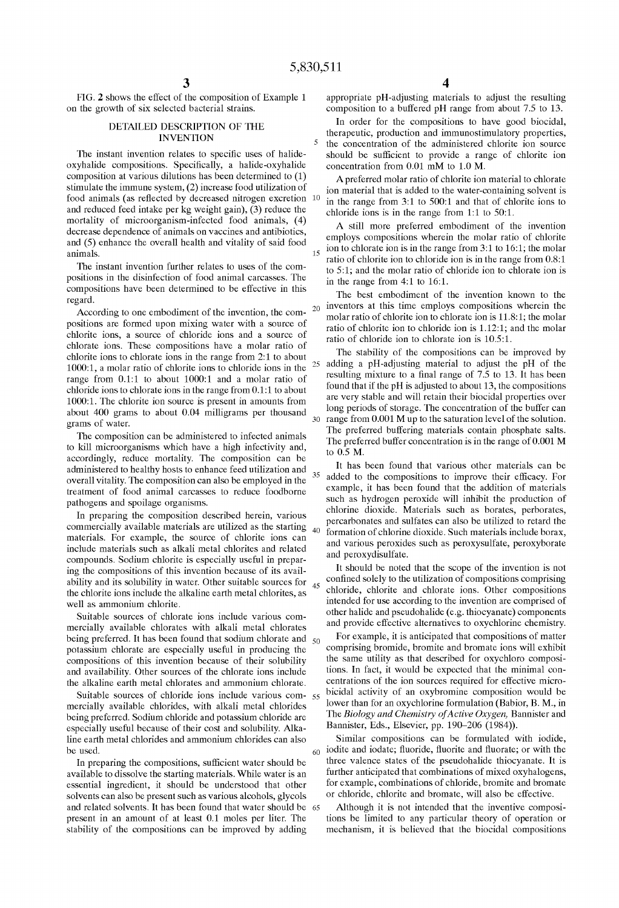FIG. 2 shows the effect of the composition of Example 1 on the growth of six selected bacterial strains.

#### DETAILED DESCRIPTION OF THE INVENTION

The instant invention relates to specific uses of halideoxyhalide compositions. SpecificalIy, a halide-oxyhalide composition at various dilutions has been determined to (1) stimulate the immune system, (2) increase food utilization of food animals (as reflected by decreased nitrogen excretion 10 and reduced feed intake per kg weight gain), (3) reduce the mortality of microorganism-infected food animals, (4) decrease dependence of animals on vaccines and antibiotics, and (5) enhance the overalI health and vitality of said food animals.

The instant invention further relates to uses of the compositions in the disinfection of food animal carcasses. The compositions have been determined to be effective in this regard.

According to one embodiment of the invention, the compositions are formed upon mixing water with a source of chlorite ions, a source of chloride ions and a source of chlorate ions. These compositions have a molar ratio of chlorite ions to chlorate ions in the range from 2:1 to about 1000:1, a molar ratio of chlorite ions to chloride ions in the range from 0.1:1 to about 1000:1 and a molar ratio of chloride ions to chlorate ions in the range from 0.1:1 to about 1000:1. The chlorite ion source is present in amounts from about 400 grams to about 0.04 milligrams per thousand grams of water.

The composition can be administered to infected animals to kilI microorganisms which have a high infectivity and, accordingly, reduce mortality. The composition can be administered to healthy hosts to enhance feed utilization and administered to healthy hosts to emhance recall trialiant 35 overall vitality. The composition can also be employed in the treatment of food animal carcasses to reduce foodborne pathogens and spoilage organisms.

In preparing the composition described herein, various commercialIy available materials are utilized as the starting materials. For example, the source of chlorite ions can include materials such as alkali metal chlorites and related compounds. Sodium chlorite is especialIy useful in preparing the compositions of this invention because of its availability and its solubility in water. Other suitable sources for 45 the chlorite ions include the alkaline earth metal chlorites, as welI as ammonium chlorite.

Suitable sources of chlorate ions include various commercialIy available chlorates with alkali metal chlorates being preferred. It has been found that sodium chlorate and  $_{50}$ potassium chlorate are especialIy useful in producing the compositions of this invention because of their solubility and availability. Other sources of the chlorate ions include the alkaline earth metal chlorates and ammonium chlorate.

Suitable sources of chloride ions include various com-  $55$ mercialIy available chlorides, with alkali metal chlorides being preferred. Sodium chloride and potassium chloride are especialIy useful because of their cost and solubility. Alkaline earth metal chlorides and ammonium chlorides can also be used.

In preparing the compositions, sufficient water should be available to dissolve the starting materials. While water is an essential ingredient, it should be understood that other solvents can also be present such as various alcohols, glycols and related solvents. It has been found that water should be 65 present in an amount of at least 0.1 moles per liter. The stability of the compositions can be improved by adding

appropriate pH -adjusting materials to adjust the resulting composition to a buffered pH range from about 7.5 to 13.

In order for the compositions to have good biocidal, therapeutic, production and immunostimulatory properties, the concentration of the administered chlorite ion source should be sufficient to provide a range of chlorite ion concentration from 0.01 mM to 1.0 M.

A preferred molar ratio of chlorite ion material to chlorate ion material that is added to the water-containing solvent is in the range from 3:1 to 500:1 and that of chlorite ions to chloride ions is in the range from  $1:1$  to  $50:1$ .

A still more preferred embodiment of the invention employs compositions wherein the molar ratio of chlorite  $15$  ion to chlorate ion is in the range from 3:1 to 16:1; the molar ratio of chlorite ion to chloride ion is in the range from 0.8:1 to 5:1; and the molar ratio of chloride ion to chlorate ion is in the range from 4:1 to 16:1.

The best embodiment of the invention known to the <sub>20</sub> inventors at this time employs compositions wherein the molar ratio of chlorite ion to chlorate ion is 11.8: 1; the molar ratio of chlorite ion to chloride ion is 1.12:1; and the molar ratio of chloride ion to chlorate ion is 10.5:1.

The stability of the compositions can be improved by 25 adding a pH-adjusting material to adjust the pH of the resulting mixture to a final range of 7.5 to 13. It has been found that if the pH is adjusted to about 13, the compositions are very stable and will retain their biocidal properties over long periods of storage. The concentration of the buffer can 30 range from 0.001 M up to the saturation level of the solution. The preferred buffering materials contain phosphate salts. The preferred buffer concentration is in the range of 0.001 M to  $0.5 M$ .

It has been found that various other materials can be added to the compositions to improve their efficacy. For example, it has been found that the addition of materials such as hydrogen peroxide will inhibit the production of chlorine dioxide. Materials such as borates, perborates, percarbonates and sulfates can also be utilized to retard the <sup>40</sup> formation of chlorine dioxide. Such materials include borax, and various peroxides such as peroxysulfate, peroxyborate and peroxydisulfate.

It should be noted that the scope of the invention is not confined solely to the utilization of compositions comprising chloride, chlorite and chlorate ions. Other compositions intended for use according to the invention are comprised of other halide and pseudohalide (e.g. thiocyanate) components and provide effective alternatives to oxychlorine chemistry.

For example, it is anticipated that compositions of matter comprising bromide, bromite and bromate ions will exhibit the same utility as that described for oxychloro compositions. In fact, it would be expected that the minimal concentrations of the ion sources required for effective microbicidal activity of an oxybromine composition would be lower than for an oxychlorine formulation (Babior, B. M., in The *Biology and Chemistry of Active Oxygen,* Bannister and Bannister, Eds., EIsevier, pp. 190-206 (1984)).

Similar compositions can be formulated with iodide,  $60$  iodite and iodate; fluoride, fluorite and fluorate; or with the three valence states of the pseudohalide thiocyanate. It is further anticipated that combinations of mixed oxyhalogens, for example, combinations of chloride, bromite and bromate or chloride, chlorite and bromate, will also be effective.

Although it is not intended that the inventive compositions be limited to any particular theory of operation or mechanism, it is believed that the biocidal compositions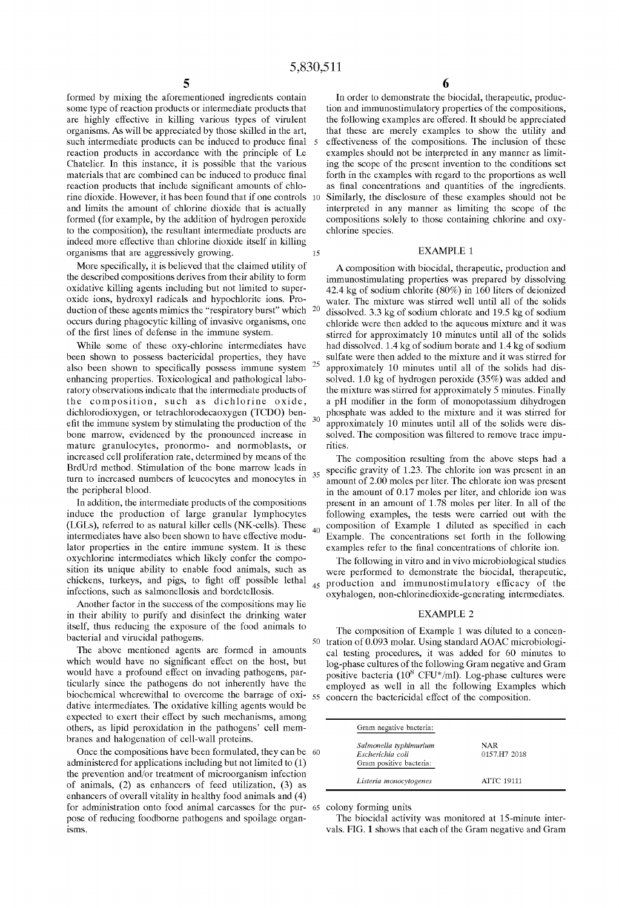formed by mixing the aforementioned ingredients contain sorne type of reaction products or intermediate products that are highly effective in killing various types of virulent organisms. As will be appreciated by those skilled in the art, such intermediate products can be induced to produce final reaction products in accordance with the principle of Le Chatelier. In this instance, it is possible that the various materials that are combined can be induced to produce final reaction products that include significant amounts of chlorine dioxide. However, it has been found that if one controls 10 and limits the amount of chlorine dioxide that is actually formed (for example, by the addition of hydrogen peroxide to the composition), the resultant intermediate products are indeed more effective than chlorine dioxide itself in killing organisms that are aggressively growing. 15

More specifically, it is believed that the claimed utility of the described compositions derives from their ability to form oxidative killing agents including but not limited to superoxide ions, hydroxyl radicals and hypochlorite ions. Production of these agents mimics the "respiratory burst" which <sup>20</sup> occurs during phagocytic killing of invasive organisms, one of the first lines of defense in the immune system.

While some of these oxy-chlorine intermediates have been shown to possess bactericidal properties, they have also been shown to specifically possess immune system enhancing properties. Toxicological and pathological laboratory observations indicate that the intermediate products of the composition, such as dichlorine oxide, dichlorodioxygen, or tetrachlorodecaoxygen (TCDO) benefit the immune system by stimulating the production of the bone marrow, evidenced by the pronounced increase in mature granulocytes, pronormo- and normoblasts, or increased cell proliferation rate, determined by means of the BrdUrd method. Stimulation of the bone marrow leads in turn to increased numbers of leucocytes and monocytes in <sup>35</sup> the peripheral blood.

In addition, the intermediate products of the compositions induce the production of large granular lymphocytes (LGLs), referred to as natural killer cells (NK-cells). These intermediates have also been shown to have effective modulator properties in the entire immune system. It is these oxychlorine intermediates which likely confer the composition its unique ability to enable food animals, such as chickens, turkeys, and pigs, to fight off possible lethal infections, such as salmonellosis and bordetellosis.

Another factor in the success of the compositions may lie in their ability to purify and disinfect the drinking water itself, thus reducing the exposure of the food animals to bacterial and virucidal pathogens.

The aboye mentioned agents are formed in amounts which would have no significant effect on the host, but would have a profound effect on invading pathogens, particularly since the pathogens do not inherently have the biochemical wherewithal to overcome the barrage of oxi- 55 dative intermediates. The oxidative killing agents would be expected to exert their effect by such mechanisms, among others, as lipid peroxidation in the pathogens' cell membranes and halogenation of cell-wall proteins.

Once the compositions have been formulated, they can be 60 administered for applications including but not limited to (1) the prevention and/or treatment of microorganism infection of animals,  $(2)$  as enhancers of feed utilization,  $(3)$  as enhancers of overall vitality in healthy food animals and (4) for administration onto food animal carcasses for the pur- 65 colony forming units pose of reducing foodborne pathogens and spoilage organisms.

In order to demonstrate the biocidal, therapeutic, production and immunostimulatory properties of the compositions, the following examples are offered. It should be appreciated that these are merely examples to show the utility and effectiveness of the compositions. The inclusion of these examples should not be interpreted in any manner as limiting the scope of the present invention to the conditions set forth in the examples with regard to the proportions as well as final concentrations and quantities of the ingredients. Similarly, the disclosure of these examples should not be interpreted in any manner as limiting the scope of the compositions solely to those containing chlorine and oxychlorine species.

#### EXAMPLE 1

A composition with biocidal, therapeutic, production and immunostimulating properties was prepared by dissolving 42.4 kg of sodium chlorite (80%) in 160 liters of deionized water. The mixture was stirred well until all of the solids dissolved. 3.3 kg of sodium chlorate and 19.5 kg of sodium chloride were then added to the aqueous mixture and it was stirred for approximately 10 minutes until all of the solids had dissolved. 1.4 kg of sodium borate and 1.4 kg of sodium sulfate were then added to the mixture and it was stirred for <sup>25</sup> approximately 10 minutes until all of the solids had dissolved. 1.0 kg of hydrogen peroxide (35%) was added and the mixture was stirred for approximately 5 minutes. Finally a pH modifier in the form of monopotassium dihydrogen phosphate was added to the mixture and it was stirred for approximately 10 minutes until all of the solids were dissolved. The composition was filtered to remove trace impurities.

The composition resulting from the aboye steps had a specific gravity of 1.23. The chlorite ion was present in an amount of 2.00 moles per liter. The chlorate ion was present in the amount of 0.17 moles per liter, and chloride ion was present in an amount of 1.78 moles per liter. In all of the following examples, the tests were carried out with the  $_{40}$  composition of Example 1 diluted as specified in each Example. The concentrations set forth in the following examples refer to the final concentrations of chlorite ion.

The following in vitro and in vivo microbiological studies were performed to demonstrate the biocidal, therapeutic, 45 production and immunostimulatory efficacy of the oxyhalogen, non-chlorinedioxide-generating intermediates.

#### EXAMPLE 2

The composition of Example 1 was diluted to a concen-50 tration of 0.093 molar. Using standard AOAC microbiological testing procedures, it was added for 60 minutes to log -phase cultures of the following Gram negative and Gram positive bacteria ( $10^8$  CFU\*/ml). Log-phase cultures were employed as well in all the following Examples which concern the bactericidal effect of the composition.

| Gram negative bacteria:                                               |                     |
|-----------------------------------------------------------------------|---------------------|
| Salmonella typhimurium<br>Escherichia coli<br>Gram positive bacteria: | NAR<br>0157.H7 2018 |
| Listeria monocytogenes                                                | <b>ATTC 19111</b>   |

The biocidal activity was monitored at 15-minute intervals. FIG. 1 shows that each of the Gram negative and Gram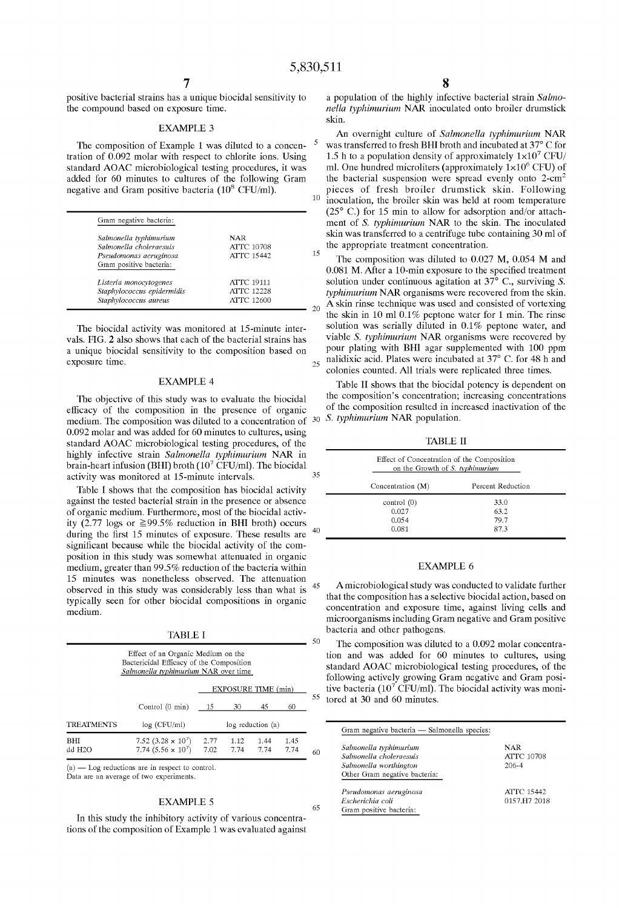positive bacterial strains has a unique biocidal sensitivity to the compound based on exposure time.

#### EXAMPLE 3

The composition of Example 1 was diluted to a concentration of 0.092 molar with respect to chlorite ions. Using standard AOAC microbiological testing procedures, it was added for 60 minutes to cultures of the following Gram negative and Gram positive bacteria  $(10^8 \text{ CFU/ml})$ .

| Gram negative bacteria:                           |                   |
|---------------------------------------------------|-------------------|
| Salmonella typhimurium                            | NAR               |
| Salmonella choleraesuis                           | <b>ATTC 10708</b> |
| Pseudomonas aeruginosa<br>Gram positive bacteria: | <b>ATTC 15442</b> |
| Listeria monocytogenes                            | <b>ATTC 19111</b> |
| Staphylococcus epidermidis                        | <b>ATTC 12228</b> |
| Staphylococcus aureus                             | <b>ATTC 12600</b> |

The biocidal activity was monitored at 15-minute intervals. FIG. 2 also shows that each of the bacterial strains has a unique biocidal sensitivity to the composition based on exposure time.

### EXAMPLE 4

The objective of this study was to evaluate the biocidal efficacy of the composition in the presence of organic medium. The composition was diluted to a concentration of 30 0.092 molar and was added for 60 minutes to cultures, using standard AOAC microbiological testing procedures, of the highly infective strain *Salmonella typhimurium* NAR in brain-heart infusion (BHI) broth  $(10^7 \text{ CFU/ml})$ . The biocidal activity was monitored at 15-minute intervals.

Table I shows that the composition has biocidal activity against the tested bacterial strain in the presence or absence of organic medium. Furthermore, most of the biocidal activity (2.77 logs or  $\geq$ 99.5% reduction in BHI broth) occurs during the first 15 minutes of exposure. These results are significant because while the biocidal activity of the composition in this study was somewhat attenuated in organic medium, greater than 99.5% reduction of the bacteria within 15 minutes was nonetheless observed. The attenuation observed in this study was considerably less than what is 45 typically seen for other biocidal compositions in organic medium.

TABLE I

| Effect of an Organic Medium on the<br>Bactericidal Efficacy of the Composition<br>Salmonella typhimurium NAR over time |                                                        |              |                     |                   | ◡            |    |
|------------------------------------------------------------------------------------------------------------------------|--------------------------------------------------------|--------------|---------------------|-------------------|--------------|----|
|                                                                                                                        |                                                        |              | EXPOSURE TIME (min) |                   |              | 55 |
|                                                                                                                        | Control (0 min)                                        | - 15         | 30                  | 45                | 60           |    |
| <b>TREATMENTS</b>                                                                                                      | log (CFU/ml)                                           |              |                     | log reduction (a) |              |    |
| BНI<br>dd H2O                                                                                                          | 7.52 $(3.28 \times 10^7)$<br>7.74 $(5.56 \times 10^7)$ | 2.77<br>7.02 | 1.12<br>7.74        | 1.44<br>7.74      | 1.45<br>7.74 | 60 |

 $(a)$  - Log reductions are in respect to control. Data are an average of two experiments.

#### EXAMPLE 5

In this study the inhibitory activity of various concentrations of the composition of Example 1 was evaluated against 8 a population of the highly infective bacterial strain *Salmonella typhimurium* NAR inoculated onto broiler drumstick skin.

An overnight culture of *Salmonella typhimurium* NAR 5 was transferred to fresh EHI broth and incubated at 37° C for 1.5 h to a population density of approximately  $1 \times 10^7$  CFU/ ml. One hundred microliters (approximately  $1\times10^6$  CFU) of the bacterial suspension were spread evenly onto 2-cm<sup>2</sup> pieces of fresh broiler drumstick skin. Following <sup>10</sup> inoculation, the broiler skin was held at room temperature (25° C.) for 15 min to allow for adsorption and/or attachment of S. *typhimurium* NAR to the skin. The inoculated skin was transferred to a centrifuge tube containing 30 mI of the appropriate treatment concentration.

The composition was diluted to 0.027 M, 0.054 M and 0.081 M. After a lO-min exposure to the specified treatment solution under continuous agitation at 37° c., surviving *S. typhimurium* NAR organisms were recovered from the skin.  $_{20}$  A skin rinse technique was used and consisted of vortexing the skin in 10 ml  $0.1\%$  peptone water for 1 min. The rinse solution was serially diluted in 0.1% peptone water, and viable *S. typhimurium* NAR organisms were recovered by pour plating with ERI agar supplemented with 100 ppm  $_{25}$  nalidixic acid. Plates were incubated at 37 $^{\circ}$  C. for 48 h and colonies counted. All trials were replicated three times.

Table 11 shows that the biocidal potency is dependent on the composition's concentration; increasing concentrations of the composition resulted in increased inactivation of the *S. typhimurium NAR population.* 

TABLE 11

| Effect of Concentration of the Composition<br>on the Growth of S. typhimurium |                   |
|-------------------------------------------------------------------------------|-------------------|
| Concentration $(M)$                                                           | Percent Reduction |
| control(0)                                                                    | 33.0              |
| 0.027                                                                         | 63.2              |
| 0.054                                                                         | 79.7              |
| 0.081                                                                         | 87.3              |

#### EXAMPLE 6

Amicrobiological study was conducted to validate further that the composition has a selective biocidal action, based on concentration and exposure time, against living cells and microorganisms including Gram negative and Gram positive bacteria and other pathogens.

The composition was diluted to a 0.092 molar concentration and was added for 60 minutes to cultures, using standard AOAC microbiological testing procedures, of the following actively growing Gram negative and Gram positive bacteria ( $10^7$  CFU/ml). The biocidal activity was monitored at 30 and 60 minutes.

| Salmonella typhimurium        | NAR               |
|-------------------------------|-------------------|
| Salmonella choleraesus        | <b>ATTC 10708</b> |
| Salmonella worthington        | 206-4             |
| Other Gram negative bacteria: |                   |
| Pseudomonas aeruginosa        | ATTC 15442        |
| Escherichia coli              | 0157.H7 2018      |
| Gram positive bacteria:       |                   |

15

35

 $50^{\circ}$ 

65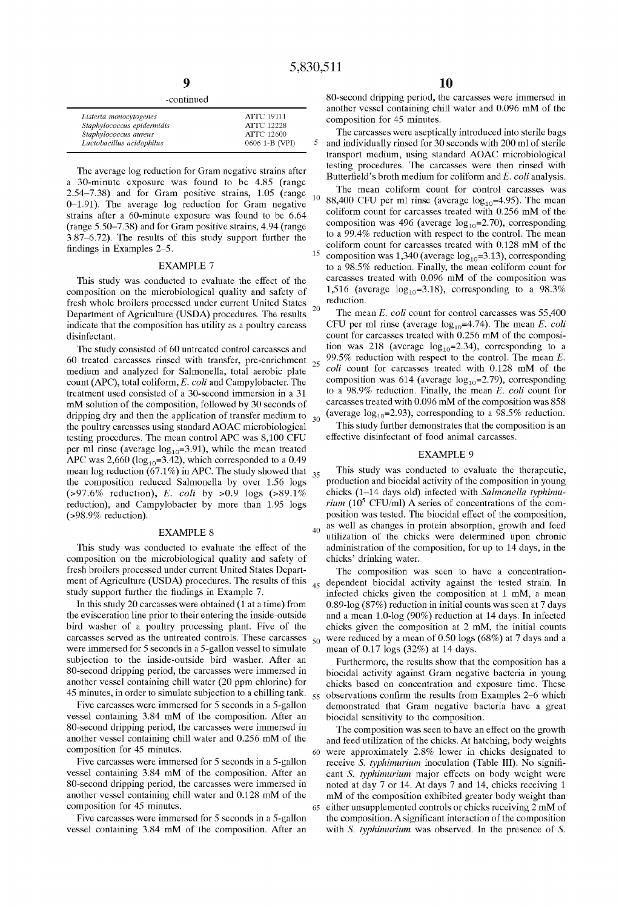| -continued |  |
|------------|--|
|            |  |

| Listeria monocytogenes     | <b>ATTC 19111</b> |
|----------------------------|-------------------|
| Staphylococcus epidermidis | <b>ATTC 12228</b> |
| Staphylococcus aureus      | ATTC 12600        |
| Lactobacillus acidophilus  | 0606 1-B (VPI)    |

The average log reduction for Gram negative strains after a 30-minute exposure was found to be 4.85 (range 2.54-7.38) and for Gram positive strains, 1.05 (range 0-1.91). The average log reduction for Gram negative strains after a 60-minute exposure was found to be 6.64 (range 5.50-7.38) and for Gram positive strains, 4.94 (range 3.87-6.72). The results of this study support further the findings in Examples 2-5.

### EXAMPLE 7

This study was conducted to evaluate the effect of the composition on the microbiological quality and safety of fresh whole broilers processed under current United States 20 Department of Agriculture (USDA) procedures. The results indicate that the composition has utility as a poultry carcass disinfectant.

The study consisted of 60 untreated control carcasses and 60 treated carcasses rinsed with transfer, pre-enrichment medium and analyzed for Salmonella, total aerobic plate count (APC), total coliform, *E. coli* and Campylobacter. The treatment used consisted of a 30-second immersion in a 31 mM solution of the composition, followed by 30 seconds of dripping dry and then the application of transfer medium to  $_{30}$ the poultry carcasses using standard AOAC microbiological testing procedures. The mean control APC was 8,100 CFU per ml rinse (average  $log_{10} = 3.91$ ), while the mean treated APC was  $2,660$  (log<sub>10</sub>=3.42), which corresponded to a 0.49 mean log reduction (67.1%) in APC. The study showed that  $_{35}$ the composition reduced Salmonella by over 1.56 logs (>97.6% reduction), *E. coli* by >0.9 logs (>89.1% reduction), and Campylobacter by more than 1.95 logs (>98.9% reduction).

This study was conducted to evaluate the effect of the composition on the microbiological quality and safety of fresh broilers processed under current United States Department of Agriculture (USDA) procedures. The results of this study support further the findings in Example 7.

In this study 20 carcasses were obtained (1 at a time) from the evisceration line prior to their entering the inside-outside bird washer of a poultry processing plant. Five of the carcasses served as the untreated controls. These carcasses  $50$ were immersed for 5 seconds in a 5-gallon vessel to simulate subjection to the inside-outside bird washer. After an 80-second dripping period, the carcasses were immersed in another vessel containing chill water (20 ppm chlorine) for 45 minutes, in order to simulate subjection to a chilling tank.  $_{55}$ 

Five carcasses were immersed for 5 seconds in a 5-gallon vessel containing 3.84 mM of the composition. After an 80-second dripping period, the carcasses were immersed in another vessel containing chill water and 0.256 mM of the composition for 45 minutes.

Five carcasses were immersed for 5 seconds in a 5-gallon vessel containing 3.84 mM of the composition. After an 80-second dripping period, the carcasses were immersed in another vessel containing chill water and 0.128 mM of the composition for 45 minutes.

Five carcasses were immersed for 5 seconds in a 5-gallon vessel containing 3.84 mM of the composition. After an

80-second dripping period, the carcasses were immersed in another vessel containing chill water and 0.096 mM of the composition for 45 minutes.

The carcasses were aseptically introduced into sterile bags and individually rinsed for 30 seconds with 200 ml of sterile transport medium, using standard AOAC microbiological testing procedures. The carcasses were then rinsed with Butterfield's broth medium for coliform and E. coli analysis.

The mean coliform count for control carcasses was 10 88,400 CFU per ml rinse (average  $log_{10}$ =4.95). The mean coliform count for carcasses treated with 0.256 mM of the composition was 496 (average  $log_{10} = 2.70$ ), corresponding to a 99.4% reduction with respect to the control. The mean coliform count for carcasses treated with 0.128 mM of the <sup>15</sup> composition was 1,340 (average  $log_{10} = 3.13$ ), corresponding to a 98.5% reduction. Finally, the mean coliform count for carcasses treated with 0.096 mM of the composition was 1,516 (average  $log_{10} = 3.18$ ), corresponding to a 98.3% reduction.

The mean *E. coli* count for control carcasses was 55,400 CFU per ml rinse (average  $log_{10} = 4.74$ ). The mean *E. coli* count for carcasses treated with 0.256 mM of the composition was 218 (average  $log_{10} = 2.34$ ), corresponding to a 99.5% reduction with respect to the control. The mean *E.*  <sup>25</sup> *coli* count for carcasses treated with 0.128 mM of the composition was 614 (average  $log_{10} = 2.79$ ), corresponding to a 98.9% reduction. Finally, the mean *E. coli* count for carcasses treated with 0.096 mM of the composition was 858 (average  $log_{10} = 2.93$ ), corresponding to a 98.5% reduction.

This study further demonstrates that the composition is an effective disinfectant of food animal carcasses.

#### EXAMPLE 9

This study was conducted to evaluate the therapeutic, production and biocidal activity of the composition in young chicks (1-14 days old) infected with *Salmonella typhimurium* ( $10^5$  CFU/ml) A series of concentrations of the composition was tested. The biocidal effect of the composition, EXAMPLE 8  $^{40}$  as well as changes in protein absorption, growth and feed<br>utilization of the chicks were determined upon chronic utilization of the chicks were determined upon chronic administration of the composition, for up to 14 days, in the chicks' drinking water.

> The composition was seen to have a concentration-45 dependent biocidal activity against the tested strain. In infected chicks given the composition at 1 mM, a mean 0.89-log (87%) reduction in initial counts was seen at 7 days and a mean 1.0-log (90%) reduction at 14 days. In infected chicks given the composition at 2 mM, the initial counts were reduced by a mean of 0.50 logs (68%) at 7 days and a mean of 0.17 logs (32%) at 14 days.

Furthermore, the results show that the composition has a biocidal activity against Gram negative bacteria in young chicks based on concentration and exposure time. These observations confirm the results from Examples 2-6 which demonstrated that Gram negative bacteria have a great biocidal sensitivity to the composition.

The composition was seen to have an effect on the growth and feed utilization of the chicks. At hatching, body weights <sup>60</sup>were approximately 2.8% lower in chicks designated to receive S. *typhimurium* inoculation (Table I1I). No significant *S. typhimurium* major effects on body weight were noted at day 7 or 14. At days 7 and 14, chicks receiving 1 mM of the composition exhibited greater body weight than 65 either unsupplemented controls or chicks receiving 2 mM of the composition. A significant interaction of the composition with *S. typhimurium* was observed. In the presence of *S.*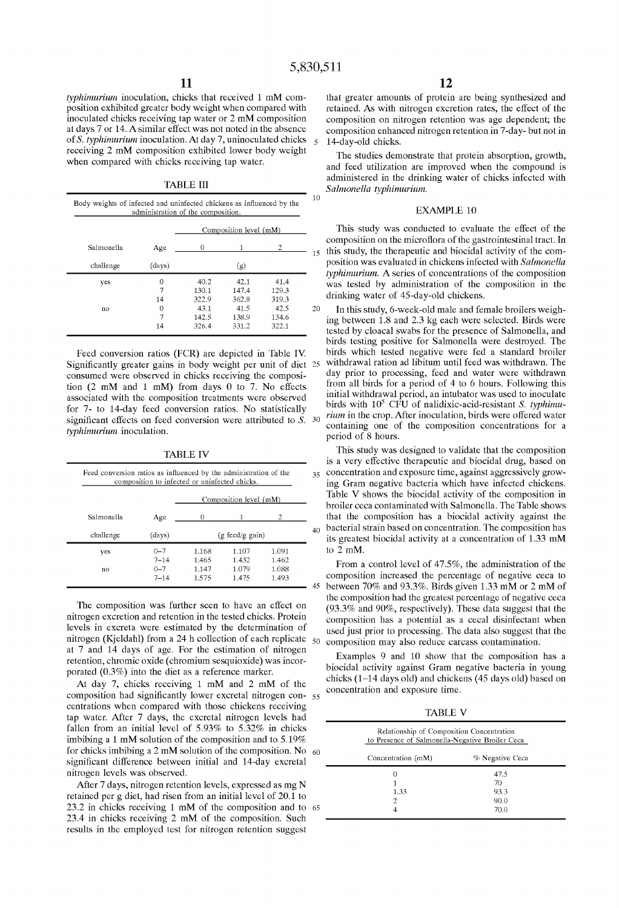*typhimurium* inoculation, chicks that received 1 mM composition exhibited greater body weight when compared with inoculated chicks receiving tap water or 2 mM composition at days 7 or 14. A similar effect was not noted in the absence of *S. typhimurium* inoculation. At day 7, uninoculated chicks 5 receiving 2 mM composition exhibited lower body weight when compared with chicks receiving tap water.

TABLE III

|            |        |       | Composition level (mM) |       |  |
|------------|--------|-------|------------------------|-------|--|
| Salmonella | Age    | 0     |                        | 2     |  |
| challenge  | (days) |       | (g)                    |       |  |
| yes        | Ω      | 40.2  | 42.1                   | 41.4  |  |
|            | 7      | 130.1 | 147.4                  | 129.3 |  |
|            | 14     | 322.9 | 362.8                  | 319.3 |  |
| no         | Ω      | 43.1  | 41.5                   | 42.5  |  |
|            |        | 142.5 | 138.9                  | 134.6 |  |
|            | 14     | 326.4 | 331.2                  | 322.1 |  |

Significantly greater gains in body weight per unit of diet 25 consumed were observed in chicks receiving the composition (2 mM and 1 mM) from days O to 7. No effects associated with the composition treatments were observed for 7- to 14-day feed conversion ratios. No statistically significant effects on feed conversion were attributed to *S. 30 typhimurium* inoculation.

TABLE IV

| composition to infected or uninfected chicks.<br>Composition level (mM) |                     |                           |                |                |
|-------------------------------------------------------------------------|---------------------|---------------------------|----------------|----------------|
| Salmonella                                                              | Age                 | 0                         |                | 2.             |
| challenge                                                               | (days)              | $(g \text{ feed/g gain})$ |                |                |
| yes                                                                     | $0 - 7$             | 1.168                     | 1.107          | 1.091          |
| no                                                                      | $7 - 14$<br>$0 - 7$ | 1.465<br>1.147            | 1.432<br>1.079 | 1.462<br>1.088 |
|                                                                         | $7 - 14$            | 1.575                     | 1.475          | 1.493          |

The composition was further seen to have an effect on nitrogen excretion and retention in the tested chicks. Protein levels in excreta were estimated by the determination of nitrogen (Kjeldahl) from a 24 h collection of each replicate  $_{50}$ at 7 and 14 days of age. For the estimation of nitrogen retention, chromic oxide (chromium sesquioxide) was incorporated (0.3%) into the diet as a reference marker.

At day 7, chicks receiving 1 mM and 2 mM of the composition had significantly lower excretal nitrogen con-55 centrations when compared with those chickens receiving tap water. After 7 days, the excretal nitrogen levels had fallen from an initial level of 5.93% to 5.32% in chicks imbibing a 1 mM solution of the composition and to 5.19% for chicks imbibing a 2 mM solution of the composition. No  $60$ significant difference between initial and 14-day excretal nitrogen levels was observed.

After 7 days, nitrogen retention levels, expressed as mg N retained per g diet, had risen from an initial level of 20.1 to 23.2 in chicks receiving 1 mM of the composition and to 65 23.4 in chicks receiving 2 mM of the composition. Such results in the employed test for nitrogen retention suggest

that greater amounts of protein are being synthesized and retained. As with nitrogen excretion rates, the effect of the composition on nitrogen retention was age dependent; the composition enhanced nitrogen retention in 7-day- but not in 14-day-old chicks.

The studies demonstrate that protein absorption, growth, and feed utilization are improved when the compound is administered in the drinking water of chicks infected with *Salmonella typhimurium.* 

#### EXAMPLE 10

15 this study, the therapeutic and biocidal activity of the com-This study was conducted to evaluate the effect of the composition on the microfiora of the gastrointestinal tract. In position was evaluated in chickens infected with *Salmonella typhimurium.* A series of concentrations of the composition was tested by administration of the composition in the drinking water of 45-day-old chickens.

In this study, 6-week-old male and female broilers weighing between 1.8 and 2.3 kg each were selected. Birds were tested by cloacal swabs for the presence of Salmonella, and birds testing positive for Salmonella were destroyed. The Feed conversion ratios (FCR) are depicted in Table IV. birds which tested negative were fed a standard broiler<br>Inificantly greater gains in body weight per unit of diet 25 withdrawal ration ad libitum until feed was withdr day prior to processing, feed and water were withdrawn from all birds for a period of 4 to 6 hours. Following this initial withdrawal period, an intubator was used to inoculate birds with 105 CFU of nalidixic-acid-resistant *S. typhimurium* in the crop. After inoculation, birds were offered water containing one of the composition concentrations for a period of 8 hours.

> This study was designed to validate that the composition is a very effective therapeutic and biocidal drug, based on 35 concentration and exposure time, against aggressively growing Gram negative bacteria which have infected chickens. Table V shows the biocidal activity of the composition in broiler ceca contaminated with Salmonella. The Table shows that the composition has a biocidal activity against the bacterial strain based on concentration. The composition has its greatest biocidal activity at a concentration of 1.33 mM to 2 mM.

From a control level of  $47.5\%$ , the administration of the composition increased the percentage of negative ceca to between 70% and 93.3%. Birds given 1.33 mM or 2 mM of the composition had the greatest percentage of negative ceca (93.3% and 90%, respectively). These data suggest that the composition has a potential as a cecal disinfectant when used just prior to processing. The data also suggest that the composition may also reduce carcass contamination.

Examples 9 and 10 show that the composition has a biocidal activity against Gram negative bacteria in young chicks (1-14 days old) and chickens (45 days old) based on concentration and exposure time.

TABLE V

| Relationship of Composition Concentration<br>to Presence of Salmonella-Negative Broiler Ceca |                 |  |  |
|----------------------------------------------------------------------------------------------|-----------------|--|--|
| Concentration (mM)                                                                           | % Negative Ceca |  |  |
| 0                                                                                            | 47.5            |  |  |
|                                                                                              | 70              |  |  |
| 1.33                                                                                         | 93.3            |  |  |
| 2                                                                                            | 90.0            |  |  |
| 4                                                                                            | 70.0            |  |  |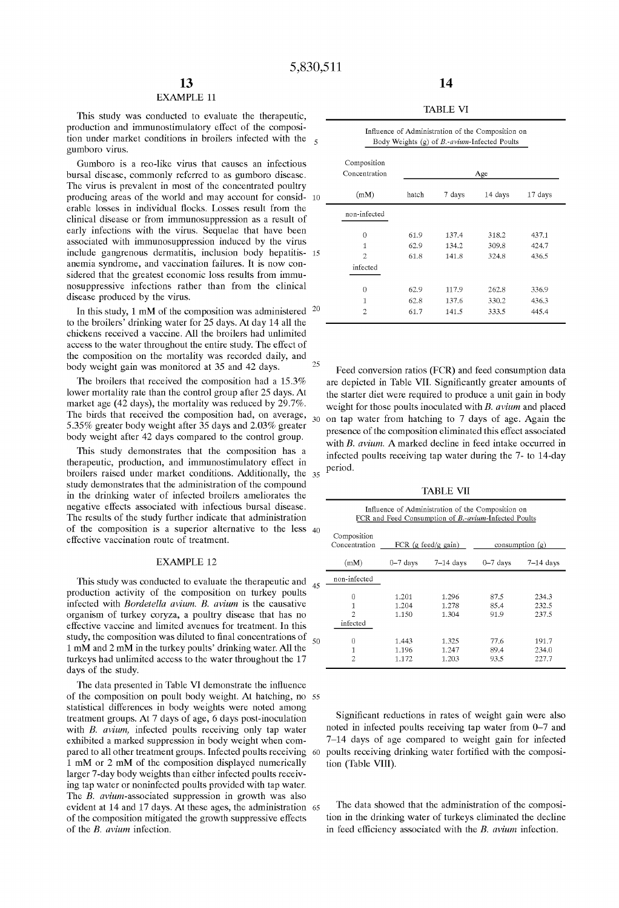# EXAMPLE 11

This study was conducted to evaluate the therapeutic, production and immunostimulatory effect of the composition under market conditions in broilers infected with the  $\epsilon$ gumboro virus.

Gumboro is a reo-like virus that causes an infectious bursal disease, commonly referred to as gumboro disease. The virus is prevalent in most of the concentrated poultry producing areas of the world and may account for consid- 10 erable losses in individual fiocks. Losses result from the clinical disease or from immunosuppression as a result of early infections with the virus. Sequelae that have been associated with immunosuppression induced by the virus include gangrenous dermatitis, inclusion body hepatitis- 15 anemia syndrome, and vaccination failures. It is now considered that the greatest economic loss results from immunosuppressive infections rather than from the clinical disease produced by the virus.

In this study, 1 mM of the composition was administered  $20$ to the broilers' drinking water for 25 days. At day 14 all the chickens received a vaccine. AH the broilers had unlimited access to the water throughout the entire study. The effect of the composition on the mortality was recorded daily, and body weight gain was monitored at 35 and 42 days.

The broilers that received the composition had a 15.3% lower mortality rate than the control group after 25 days. At market age (42 days), the mortality was reduced by 29.7%. The birds that received the composition had, on average, 5.35% greater body weight after 35 days and 2.03% greater body weight after 42 days compared to the control group.

This study demonstrates that the composition has a therapeutic, production, and immunostimulatory effect in broilers raised under market conditions. Additionally, the 35 study demonstrates that the administration of the compound in the drinking water of infected broilers ameliorates the negative effects associated with infectious bursal disease. The results of the study further indicate that administration of the composition is a superior alternative to the less 40 effective vaccination route of treatment.

#### EXAMPLE 12

This study was conducted to evaluate the therapeutic and <sub>45</sub> production activity of the composition on turkey poults infected with *Bordetella avium. B. avium* is the causative organism of turkey coryza, a poultry disease that has no effective vaccine and limited avenues for treatment. In this study, the composition was diluted to final concentrations of 1 mM and 2 mM in the turkey poults' drinking water. AH the turkeys had unlimited access to the water throughout the 17 days of the study. 50

The data presented in Table VI demonstrate the infiuence of the composition on poult body weight. At hatching, no 55 statistical differences in body weights were noted among treatment groups. At 7 days of age, 6 days post-inoculation with *B. avium,* infected poults receiving only tap water exhibited a marked suppression in body weight when compared to all other treatment groups. Infected poults receiving 60 1 mM or 2 mM of the composition displayed numerically larger 7-day body weights than either infected poults receiving tap water or noninfected poults provided with tap water. The *B. avium-associated* suppression in growth was also evident at 14 and 17 days. At these ages, the administration 65 of the composition mitigated the growth suppressive effects of the *B. avium* infection.

TABLE VI

| Influence of Administration of the Composition on<br>Body Weights $(g)$ of $B$ -avium-Infected Poults |       |        |         |         |
|-------------------------------------------------------------------------------------------------------|-------|--------|---------|---------|
| Composition<br>Concentration                                                                          | Age   |        |         |         |
| (mM)                                                                                                  | hatch | 7 days | 14 days | 17 days |
| non-infected                                                                                          |       |        |         |         |
| 0                                                                                                     | 61.9  | 137.4  | 318.2   | 437.1   |
| 1                                                                                                     | 62.9  | 134.2  | 309.8   | 424.7   |
| 2                                                                                                     | 61.8  | 141.8  | 324.8   | 436.5   |
| infected                                                                                              |       |        |         |         |
| 0                                                                                                     | 62.9  | 117.9  | 262.8   | 336.9   |
| 1                                                                                                     | 62.8  | 137.6  | 330.2   | 436.3   |
| 2                                                                                                     | 61.7  | 141.5  | 333.5   | 445.4   |

Feed conversion ratios (FCR) and feed consumption data are depicted in Table VII. Significantly greater amounts of the starter diet were required to produce a unit gain in body weight for those poults inoculated with *B. avium* and placed 30 on tap water from hatching to 7 days of age. Again the presence of the composition eliminated this effect associated with *B. avium.* A marked decline in feed intake occurred in infected poults receiving tap water during the 7- to 14-day period.

TABLE VII

| Influence of Administration of the Composition on<br>FCR and Feed Consumption of B.-avium-Infected Poults |                                                    |                         |                      |                         |
|-----------------------------------------------------------------------------------------------------------|----------------------------------------------------|-------------------------|----------------------|-------------------------|
| Composition<br>Concentration                                                                              | FCR $(g \text{ feed/g gain})$<br>consumption $(g)$ |                         |                      |                         |
| (mM)                                                                                                      | $0 - 7$ days                                       | $7-14$ days             | $0 - 7$ days         | $7-14$ days             |
| non-infected                                                                                              |                                                    |                         |                      |                         |
| 0<br>1<br>2<br>infected                                                                                   | 1.201<br>1.204<br>1.150                            | 1.296<br>1.278<br>1.304 | 87.5<br>85.4<br>91.9 | 234.3<br>232.5<br>237.5 |
| 0<br>1<br>2                                                                                               | 1.443<br>1.196<br>1.172                            | 1.325<br>1.247<br>1.203 | 77.6<br>89.4<br>93.5 | 191.7<br>234.0<br>227.7 |

Significant reductions in rates of weight gain were also noted in infected poults receiving tap water from 0-7 and 7-14 days of age compared to weight gain for infected poults receiving drinking water fortified with the composition (Table VIII).

The data showed that the administration of the composition in the drinking water of turkeys eliminated the decline in feed efficiency associated with the *B. avium* infection.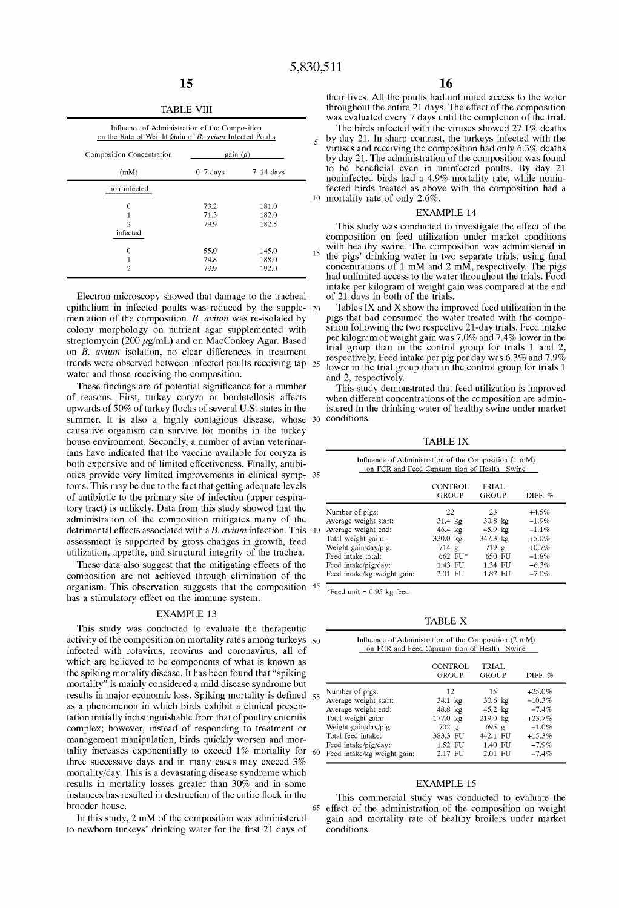#### TABLE VIII

| on the Rate of Wei ht frain of B.-avium-Infected Poults<br>Composition Concentration | gain(g)    |             |
|--------------------------------------------------------------------------------------|------------|-------------|
| (mM)                                                                                 | $0-7$ days | $7-14$ days |
| non-infected                                                                         |            |             |
| 0                                                                                    | 73.2       | 181.0       |
| 1                                                                                    | 71.3       | 182.0       |
| $\mathcal{D}$                                                                        | 79.9       | 182.5       |
| infected                                                                             |            |             |
| $\overline{0}$                                                                       | 55.0       | 145.0       |
| 1                                                                                    | 74.8       | 188.0       |
| $\overline{\mathbf{c}}$                                                              | 79.9       | 192.0       |

Electron microscopy showed that damage to the tracheal epithelium in infected poults was reduced by the supple- 20 mentation of the composition. *B. avium* was re-isolated by colony morphology on nutrient agar supplemented with streptomycin (200  $\mu$ g/mL) and on MacConkey Agar. Based on *B. avium* isolation, no clear differences in treatment trends were observed between infected poults receiving tap water and those receiving the composition.

These findings are of potential significance for a number of reasons. First, turkey coryza or bordetellosis affects upwards of 50% of turkey flocks of several U.S. states in the summer. It is also a highly contagious disease, whose  $30$ causative organism can survive for months in the turkey house environment. Secondly, a number of avian veterinarians have indicated that the vaccine available for coryza is both expensive and of limited effectiveness. Finally, antibiotics provide very limited improvements in clinical symp- 35 toms. This may be due to the fact that getting adequate levels of antibiotic to the primary site of infection (upper respiratory tract) is unlikely. Data from this study showed that the administration of the composition mitigates many of the detrimental effects associated with a *B. avium* infection. This 40 assessment is supported by gross changes in growth, feed utilization, appetite, and structural integrity of the trachea.

These data also suggest that the mitigating effects of the composition are not achieved through elimination of the organism. This observation suggests that the composition 45 has a stimulatory effect on the immune system.

#### EXAMPLE 13

This study was conducted to evaluate the therapeutic activity of the composition on mortality rates among turkeys  $50$ infected with rotavirus, reovirus and coronavirus, all of which are believed to be components of what is known as the spiking mortality disease. It has been found that "spiking mortality" is mainly considered a mild disease syndrome but results in major economic loss. Spiking mortality is defined 5 as a phenomenon in which birds exhibit a clinical presentation initially indistinguishable from that of poultry enteritis complex; however, instead of responding to treatment or management manipulation, birds quickly worsen and mortality increases exponentially to exceed 1% mortality for  $\epsilon$ three successive days and in many cases may exceed 3% mortality/day. This is a devastating disease syndrome which results in mortality losses greater than 30% and in sorne instances has resulted in destruction of the entire fiock in the This commercial study was conducted to evaluate the brooder house.

In this study, 2 mM of the composition was administered to newborn turkeys' drinking water for the first 21 days of their lives. All the poults had unlimited access to the water throughout the entire 21 days. The effect of the composition was evaluated every 7 days until the completion of the trial.

The birds infected with the viruses showed 27.1% deaths 5 by day 21. In sharp contrast, the turkeys infected with the viruses and receiving the composition had only 6.3% deaths by day 21. The administration of the composition was found to be beneficial even in uninfected poults. By day 21 noninfected birds had a 4.9% mortality rate, while noninfected birds treated as above with the composition had a  $10$  mortality rate of only 2.6%.

#### EXAMPLE 14

This study was conducted to investigate the effect of the composition on feed utilization under market conditions with healthy swine. The composition was administered in the pigs' drinking water in two separate trials, using final concentrations of 1 mM and 2 mM, respectively. The pigs had unlimited access to the water throughout the trials. Food intake per kilogram of weight gain was compared at the end of 21 days in both of the trials.

Tables IX and X show the improved feed utilization in the pigs that had consumed the water treated with the composition following the two respective 21-day trials. Feed intake per kilogram of weight gain was 7.0% and 7.4% lower in the trial group than in the control group for trials 1 and 2, respectively. Feed intake per pig per day was 6.3% and 7.9% lower in the trial group than in the control group for trials 1 and 2, respectively.

This study demonstrated that feed utilization is improved when different concentrations of the composition are administered in the drinking water of healthy swine under market conditions.

TABLE IX

| Influence of Administration of the Composition (1 mM) |          |        |           |
|-------------------------------------------------------|----------|--------|-----------|
| on FCR and Feed Consum tion of Health Swine           |          |        |           |
|                                                       |          |        |           |
|                                                       | CONTROL: | TRIAL. |           |
|                                                       | GROUP    | GROUP  | DIFF. $%$ |
|                                                       |          |        |           |

| Number of pigs:             | 22.              | 23       | $+4.5%$  |
|-----------------------------|------------------|----------|----------|
| Average weight start:       | $31.4$ kg        | 30.8 kg  | $-1.9%$  |
| Average weight end:         | $46.4~\text{kg}$ | 45.9 kg  | $-1.1\%$ |
| Total weight gain:          | 330.0 kg         | 347.3 kg | $+5.0%$  |
| Weight gain/day/pig:        | 714 g            | 719 g    | $+0.7%$  |
| Feed intake total:          | 662 FU*          | 650 FU   | $-1.8%$  |
| Feed intake/pig/day:        | 1.43 FU          | 1.34 FU  | $-6.3%$  |
| Feed intake/kg weight gain: | 2.01 FU          | 1.87 FU  | $-7.0%$  |

\*Feed unit  $= 0.95$  kg feed

TABLE X

| Influence of Administration of the Composition (2 mM)<br>on FCR and Feed Consum tion of Health Swine |                                |                       |           |
|------------------------------------------------------------------------------------------------------|--------------------------------|-----------------------|-----------|
|                                                                                                      | <b>CONTROL</b><br><b>GROUP</b> | <b>TRIAL</b><br>GROUP | DIFF. $%$ |
| Number of pigs:                                                                                      | 12                             | 15                    | $+25.0%$  |
| Average weight start:                                                                                | $34.1$ kg                      | $30.6 \text{ kg}$     | $-10.3%$  |
| Average weight end:                                                                                  | $48.8$ kg                      | $45.2 \text{ kg}$     | $-7.4%$   |
| Total weight gain:                                                                                   | 177.0 kg                       | 219.0 kg              | $+23.7%$  |
| Weight gain/day/pig:                                                                                 | 702 g                          | 695 g                 | $-1.0%$   |
| Total feed intake:                                                                                   | 383.3 FU                       | 442.1 FU              | $+15.3%$  |
| Feed intake/pig/day:                                                                                 | 1.52 FU                        | 1.40 FU               | $-7.9%$   |
| Feed intake/kg weight gain:                                                                          | 2.17 FU                        | 2.01 FU               | $-7.4%$   |

#### EXAMPLE 15

65 effect of the administration of the composition on weight gain and mortality rate of healthy broilers under market conditions.